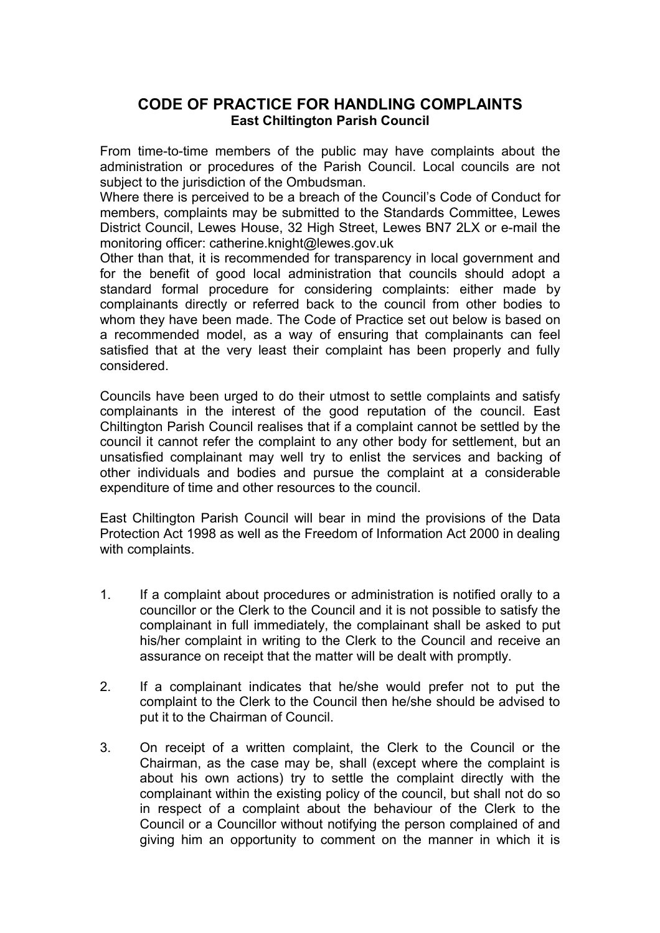## **CODE OF PRACTICE FOR HANDLING COMPLAINTS East Chiltington Parish Council**

From time-to-time members of the public may have complaints about the administration or procedures of the Parish Council. Local councils are not subject to the jurisdiction of the Ombudsman.

Where there is perceived to be a breach of the Council's Code of Conduct for members, complaints may be submitted to the Standards Committee, Lewes District Council, Lewes House, 32 High Street, Lewes BN7 2LX or e-mail the monitoring officer: catherine.knight@lewes.gov.uk

Other than that, it is recommended for transparency in local government and for the benefit of good local administration that councils should adopt a standard formal procedure for considering complaints: either made by complainants directly or referred back to the council from other bodies to whom they have been made. The Code of Practice set out below is based on a recommended model, as a way of ensuring that complainants can feel satisfied that at the very least their complaint has been properly and fully considered.

Councils have been urged to do their utmost to settle complaints and satisfy complainants in the interest of the good reputation of the council. East Chiltington Parish Council realises that if a complaint cannot be settled by the council it cannot refer the complaint to any other body for settlement, but an unsatisfied complainant may well try to enlist the services and backing of other individuals and bodies and pursue the complaint at a considerable expenditure of time and other resources to the council.

East Chiltington Parish Council will bear in mind the provisions of the Data Protection Act 1998 as well as the Freedom of Information Act 2000 in dealing with complaints.

- 1. If a complaint about procedures or administration is notified orally to a councillor or the Clerk to the Council and it is not possible to satisfy the complainant in full immediately, the complainant shall be asked to put his/her complaint in writing to the Clerk to the Council and receive an assurance on receipt that the matter will be dealt with promptly.
- 2. If a complainant indicates that he/she would prefer not to put the complaint to the Clerk to the Council then he/she should be advised to put it to the Chairman of Council.
- 3. On receipt of a written complaint, the Clerk to the Council or the Chairman, as the case may be, shall (except where the complaint is about his own actions) try to settle the complaint directly with the complainant within the existing policy of the council, but shall not do so in respect of a complaint about the behaviour of the Clerk to the Council or a Councillor without notifying the person complained of and giving him an opportunity to comment on the manner in which it is